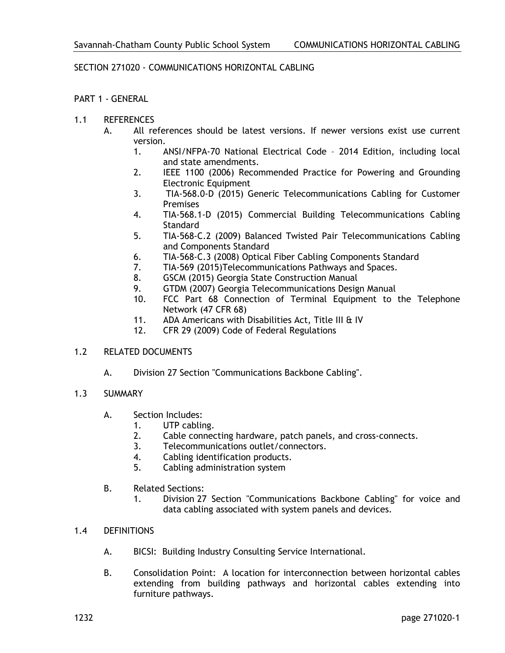# SECTION 271020 - COMMUNICATIONS HORIZONTAL CABLING

## PART 1 - GENERAL

- 1.1 REFERENCES
	- A. All references should be latest versions. If newer versions exist use current version.
		- 1. ANSI/NFPA-70 National Electrical Code 2014 Edition, including local and state amendments.
		- 2. IEEE 1100 (2006) Recommended Practice for Powering and Grounding Electronic Equipment
		- 3. TIA-568.0-D (2015) Generic Telecommunications Cabling for Customer Premises
		- 4. TIA-568.1-D (2015) Commercial Building Telecommunications Cabling **Standard**
		- 5. TIA-568-C.2 (2009) Balanced Twisted Pair Telecommunications Cabling and Components Standard
		- 6. TIA-568-C.3 (2008) Optical Fiber Cabling Components Standard
		- 7. TIA-569 (2015)Telecommunications Pathways and Spaces.
		- 8. GSCM (2015) Georgia State Construction Manual
		- 9. GTDM (2007) Georgia Telecommunications Design Manual
		- 10. FCC Part 68 Connection of Terminal Equipment to the Telephone Network (47 CFR 68)
		- 11. ADA Americans with Disabilities Act, Title III & IV
		- 12. CFR 29 (2009) Code of Federal Regulations

#### 1.2 RELATED DOCUMENTS

- A. Division 27 Section "Communications Backbone Cabling".
- 1.3 SUMMARY
	- A. Section Includes:
		- 1. UTP cabling.
		- 2. Cable connecting hardware, patch panels, and cross-connects.
		- 3. Telecommunications outlet/connectors.
		- 4. Cabling identification products.
		- 5. Cabling administration system
	- B. Related Sections:
		- 1. Division 27 Section "Communications Backbone Cabling" for voice and data cabling associated with system panels and devices.
- 1.4 DEFINITIONS
	- A. BICSI: Building Industry Consulting Service International.
	- B. Consolidation Point: A location for interconnection between horizontal cables extending from building pathways and horizontal cables extending into furniture pathways.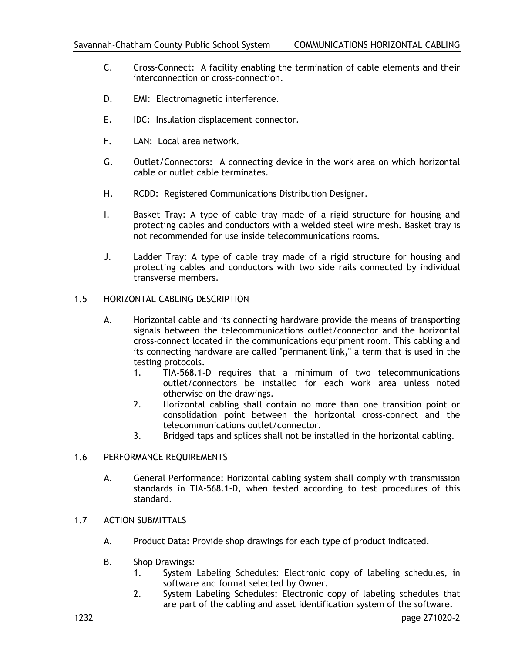- C. Cross-Connect: A facility enabling the termination of cable elements and their interconnection or cross-connection.
- D. EMI: Electromagnetic interference.
- E. IDC: Insulation displacement connector.
- F. LAN: Local area network.
- G. Outlet/Connectors: A connecting device in the work area on which horizontal cable or outlet cable terminates.
- H. RCDD: Registered Communications Distribution Designer.
- I. Basket Tray: A type of cable tray made of a rigid structure for housing and protecting cables and conductors with a welded steel wire mesh. Basket tray is not recommended for use inside telecommunications rooms.
- J. Ladder Tray: A type of cable tray made of a rigid structure for housing and protecting cables and conductors with two side rails connected by individual transverse members.

## 1.5 HORIZONTAL CABLING DESCRIPTION

- A. Horizontal cable and its connecting hardware provide the means of transporting signals between the telecommunications outlet/connector and the horizontal cross-connect located in the communications equipment room. This cabling and its connecting hardware are called "permanent link," a term that is used in the testing protocols.
	- 1. TIA-568.1-D requires that a minimum of two telecommunications outlet/connectors be installed for each work area unless noted otherwise on the drawings.
	- 2. Horizontal cabling shall contain no more than one transition point or consolidation point between the horizontal cross-connect and the telecommunications outlet/connector.
	- 3. Bridged taps and splices shall not be installed in the horizontal cabling.

#### 1.6 PERFORMANCE REQUIREMENTS

A. General Performance: Horizontal cabling system shall comply with transmission standards in TIA-568.1-D, when tested according to test procedures of this standard.

## 1.7 ACTION SUBMITTALS

- A. Product Data: Provide shop drawings for each type of product indicated.
- B. Shop Drawings:
	- 1. System Labeling Schedules: Electronic copy of labeling schedules, in software and format selected by Owner.
	- 2. System Labeling Schedules: Electronic copy of labeling schedules that are part of the cabling and asset identification system of the software.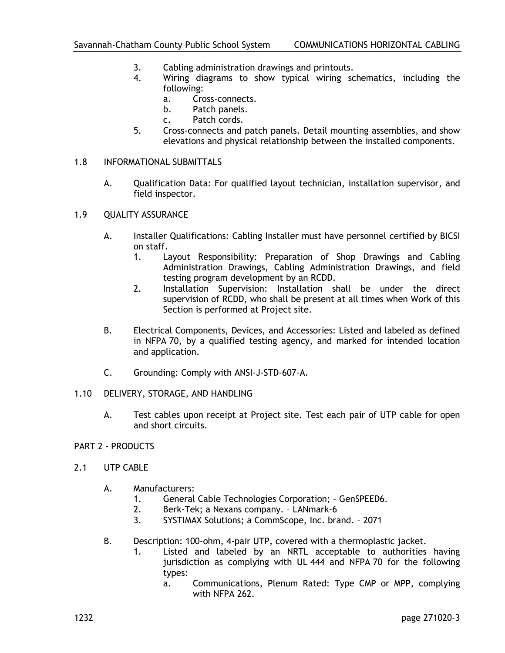- 3. Cabling administration drawings and printouts.
- 4. Wiring diagrams to show typical wiring schematics, including the following:
	- a. Cross-connects.
	- b. Patch panels.
	- c. Patch cords.
- 5. Cross-connects and patch panels. Detail mounting assemblies, and show elevations and physical relationship between the installed components.

#### 1.8 INFORMATIONAL SUBMITTALS

- A. Qualification Data: For qualified layout technician, installation supervisor, and field inspector.
- 1.9 QUALITY ASSURANCE
	- A. Installer Qualifications: Cabling Installer must have personnel certified by BICSI on staff.
		- 1. Layout Responsibility: Preparation of Shop Drawings and Cabling Administration Drawings, Cabling Administration Drawings, and field testing program development by an RCDD.
		- 2. Installation Supervision: Installation shall be under the direct supervision of RCDD, who shall be present at all times when Work of this Section is performed at Project site.
	- B. Electrical Components, Devices, and Accessories: Listed and labeled as defined in NFPA 70, by a qualified testing agency, and marked for intended location and application.
	- C. Grounding: Comply with ANSI-J-STD-607-A.

#### 1.10 DELIVERY, STORAGE, AND HANDLING

A. Test cables upon receipt at Project site. Test each pair of UTP cable for open and short circuits.

#### PART 2 - PRODUCTS

- 2.1 UTP CABLE
	- A. Manufacturers:
		- 1. General Cable Technologies Corporation; GenSPEED6.<br>2. Berk-Tek: a Nexans company. LANmark-6
		- 2. Berk-Tek; a Nexans company. LANmark-6
		- 3. SYSTIMAX Solutions; a CommScope, Inc. brand. 2071
	- B. Description: 100-ohm, 4-pair UTP, covered with a thermoplastic jacket.
		- 1. Listed and labeled by an NRTL acceptable to authorities having jurisdiction as complying with UL 444 and NFPA 70 for the following types:
			- a. Communications, Plenum Rated: Type CMP or MPP, complying with NFPA 262.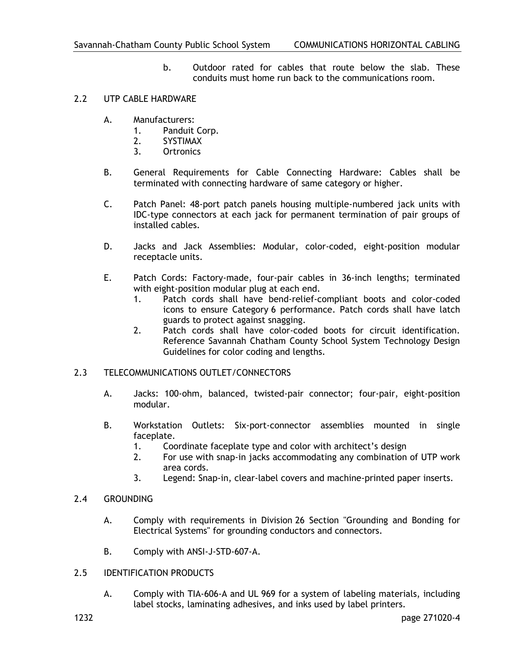b. Outdoor rated for cables that route below the slab. These conduits must home run back to the communications room.

## 2.2 UTP CABLE HARDWARE

- A. Manufacturers:
	- 1. Panduit Corp.
	- 2. SYSTIMAX
	- 3. Ortronics
- B. General Requirements for Cable Connecting Hardware: Cables shall be terminated with connecting hardware of same category or higher.
- C. Patch Panel: 48-port patch panels housing multiple-numbered jack units with IDC-type connectors at each jack for permanent termination of pair groups of installed cables.
- D. Jacks and Jack Assemblies: Modular, color-coded, eight-position modular receptacle units.
- E. Patch Cords: Factory-made, four-pair cables in 36-inch lengths; terminated with eight-position modular plug at each end.
	- 1. Patch cords shall have bend-relief-compliant boots and color-coded icons to ensure Category 6 performance. Patch cords shall have latch guards to protect against snagging.
	- 2. Patch cords shall have color-coded boots for circuit identification. Reference Savannah Chatham County School System Technology Design Guidelines for color coding and lengths.

# 2.3 TELECOMMUNICATIONS OUTLET/CONNECTORS

- A. Jacks: 100-ohm, balanced, twisted-pair connector; four-pair, eight-position modular.
- B. Workstation Outlets: Six-port-connector assemblies mounted in single faceplate.
	- 1. Coordinate faceplate type and color with architect's design
	- 2. For use with snap-in jacks accommodating any combination of UTP work area cords.
	- 3. Legend: Snap-in, clear-label covers and machine-printed paper inserts.

# 2.4 GROUNDING

- A. Comply with requirements in Division 26 Section "Grounding and Bonding for Electrical Systems" for grounding conductors and connectors.
- B. Comply with ANSI-J-STD-607-A.
- 2.5 IDENTIFICATION PRODUCTS
	- A. Comply with TIA-606-A and UL 969 for a system of labeling materials, including label stocks, laminating adhesives, and inks used by label printers.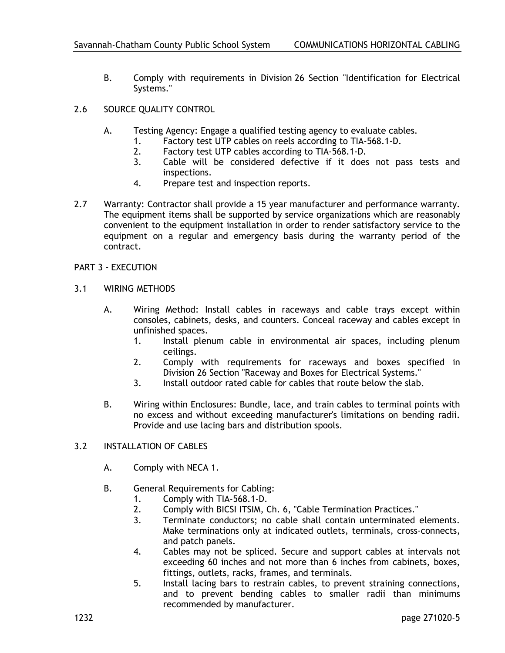- B. Comply with requirements in Division 26 Section "Identification for Electrical Systems."
- 2.6 SOURCE QUALITY CONTROL
	- A. Testing Agency: Engage a qualified testing agency to evaluate cables.
		- 1. Factory test UTP cables on reels according to TIA-568.1-D.
		- 2. Factory test UTP cables according to TIA-568.1-D.
		- 3. Cable will be considered defective if it does not pass tests and inspections.
		- 4. Prepare test and inspection reports.
- 2.7 Warranty: Contractor shall provide a 15 year manufacturer and performance warranty. The equipment items shall be supported by service organizations which are reasonably convenient to the equipment installation in order to render satisfactory service to the equipment on a regular and emergency basis during the warranty period of the contract.

## PART 3 - EXECUTION

- 3.1 WIRING METHODS
	- A. Wiring Method: Install cables in raceways and cable trays except within consoles, cabinets, desks, and counters. Conceal raceway and cables except in unfinished spaces.
		- 1. Install plenum cable in environmental air spaces, including plenum ceilings.
		- 2. Comply with requirements for raceways and boxes specified in Division 26 Section "Raceway and Boxes for Electrical Systems."
		- 3. Install outdoor rated cable for cables that route below the slab.
	- B. Wiring within Enclosures: Bundle, lace, and train cables to terminal points with no excess and without exceeding manufacturer's limitations on bending radii. Provide and use lacing bars and distribution spools.

# 3.2 INSTALLATION OF CABLES

- A. Comply with NECA 1.
- B. General Requirements for Cabling:
	- 1. Comply with TIA-568.1-D.<br>2. Comply with BICSLITSIM.
	- 2. Comply with BICSI ITSIM, Ch. 6, "Cable Termination Practices."
	- 3. Terminate conductors; no cable shall contain unterminated elements. Make terminations only at indicated outlets, terminals, cross-connects, and patch panels.
	- 4. Cables may not be spliced. Secure and support cables at intervals not exceeding 60 inches and not more than 6 inches from cabinets, boxes, fittings, outlets, racks, frames, and terminals.
	- 5. Install lacing bars to restrain cables, to prevent straining connections, and to prevent bending cables to smaller radii than minimums recommended by manufacturer.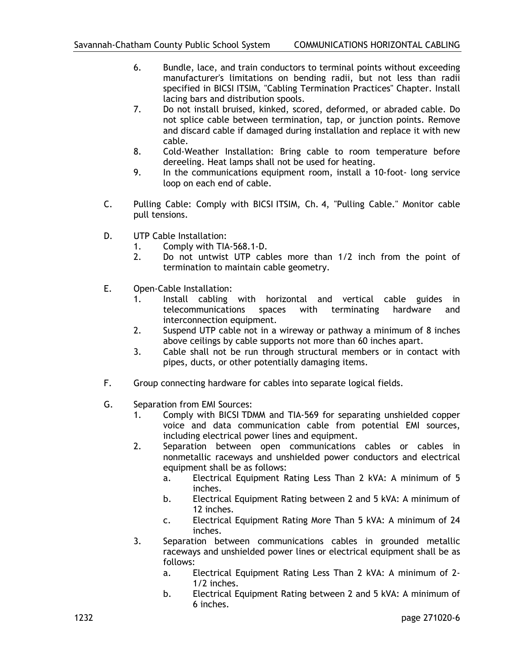- 6. Bundle, lace, and train conductors to terminal points without exceeding manufacturer's limitations on bending radii, but not less than radii specified in BICSI ITSIM, "Cabling Termination Practices" Chapter. Install lacing bars and distribution spools.
- 7. Do not install bruised, kinked, scored, deformed, or abraded cable. Do not splice cable between termination, tap, or junction points. Remove and discard cable if damaged during installation and replace it with new cable.
- 8. Cold-Weather Installation: Bring cable to room temperature before dereeling. Heat lamps shall not be used for heating.
- 9. In the communications equipment room, install a 10-foot- long service loop on each end of cable.
- C. Pulling Cable: Comply with BICSI ITSIM, Ch. 4, "Pulling Cable." Monitor cable pull tensions.
- D. UTP Cable Installation:
	- 1. Comply with TIA-568.1-D.
	- 2. Do not untwist UTP cables more than 1/2 inch from the point of termination to maintain cable geometry.
- E. Open-Cable Installation:
	- 1. Install cabling with horizontal and vertical cable guides in telecommunications spaces with terminating hardware and interconnection equipment.
	- 2. Suspend UTP cable not in a wireway or pathway a minimum of 8 inches above ceilings by cable supports not more than 60 inches apart.
	- 3. Cable shall not be run through structural members or in contact with pipes, ducts, or other potentially damaging items.
- F. Group connecting hardware for cables into separate logical fields.
- G. Separation from EMI Sources:
	- 1. Comply with BICSI TDMM and TIA-569 for separating unshielded copper voice and data communication cable from potential EMI sources, including electrical power lines and equipment.
	- 2. Separation between open communications cables or cables in nonmetallic raceways and unshielded power conductors and electrical equipment shall be as follows:
		- a. Electrical Equipment Rating Less Than 2 kVA: A minimum of 5 inches.
		- b. Electrical Equipment Rating between 2 and 5 kVA: A minimum of 12 inches.
		- c. Electrical Equipment Rating More Than 5 kVA: A minimum of 24 inches.
	- 3. Separation between communications cables in grounded metallic raceways and unshielded power lines or electrical equipment shall be as follows:
		- a. Electrical Equipment Rating Less Than 2 kVA: A minimum of 2- 1/2 inches.
		- b. Electrical Equipment Rating between 2 and 5 kVA: A minimum of 6 inches.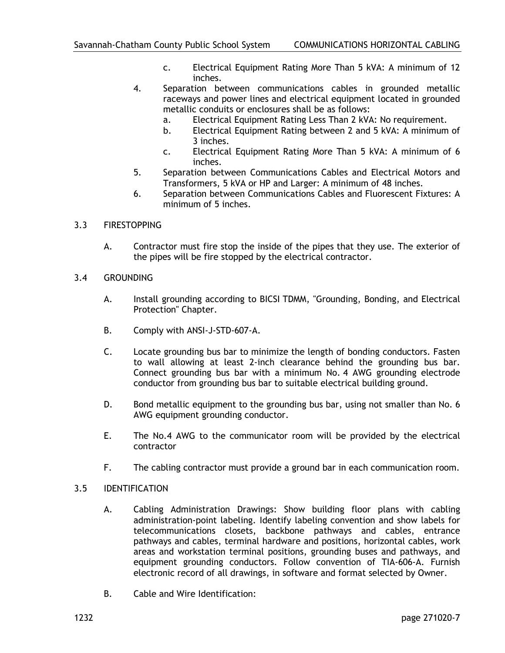- c. Electrical Equipment Rating More Than 5 kVA: A minimum of 12 inches.
- 4. Separation between communications cables in grounded metallic raceways and power lines and electrical equipment located in grounded metallic conduits or enclosures shall be as follows:
	- a. Electrical Equipment Rating Less Than 2 kVA: No requirement.
	- b. Electrical Equipment Rating between 2 and 5 kVA: A minimum of 3 inches.
	- c. Electrical Equipment Rating More Than 5 kVA: A minimum of 6 inches.
- 5. Separation between Communications Cables and Electrical Motors and Transformers, 5 kVA or HP and Larger: A minimum of 48 inches.
- 6. Separation between Communications Cables and Fluorescent Fixtures: A minimum of 5 inches.
- 3.3 FIRESTOPPING
	- A. Contractor must fire stop the inside of the pipes that they use. The exterior of the pipes will be fire stopped by the electrical contractor.
- 3.4 GROUNDING
	- A. Install grounding according to BICSI TDMM, "Grounding, Bonding, and Electrical Protection" Chapter.
	- B. Comply with ANSI-J-STD-607-A.
	- C. Locate grounding bus bar to minimize the length of bonding conductors. Fasten to wall allowing at least 2-inch clearance behind the grounding bus bar. Connect grounding bus bar with a minimum No. 4 AWG grounding electrode conductor from grounding bus bar to suitable electrical building ground.
	- D. Bond metallic equipment to the grounding bus bar, using not smaller than No. 6 AWG equipment grounding conductor.
	- E. The No.4 AWG to the communicator room will be provided by the electrical contractor
	- F. The cabling contractor must provide a ground bar in each communication room.
- 3.5 IDENTIFICATION
	- A. Cabling Administration Drawings: Show building floor plans with cabling administration-point labeling. Identify labeling convention and show labels for telecommunications closets, backbone pathways and cables, entrance pathways and cables, terminal hardware and positions, horizontal cables, work areas and workstation terminal positions, grounding buses and pathways, and equipment grounding conductors. Follow convention of TIA-606-A. Furnish electronic record of all drawings, in software and format selected by Owner.
	- B. Cable and Wire Identification: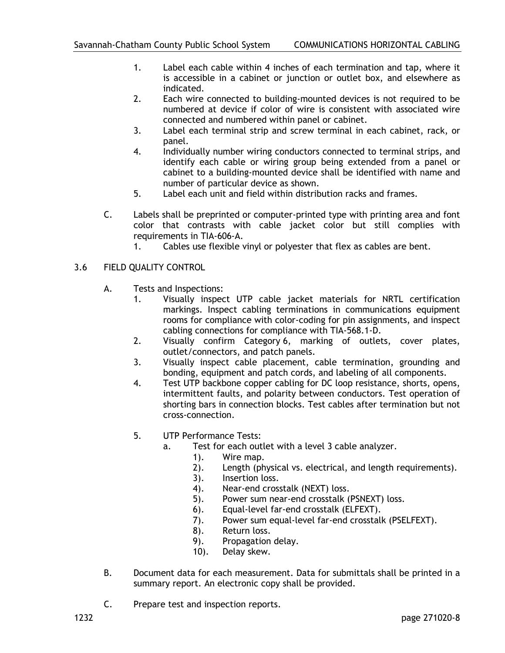- 1. Label each cable within 4 inches of each termination and tap, where it is accessible in a cabinet or junction or outlet box, and elsewhere as indicated.
- 2. Each wire connected to building-mounted devices is not required to be numbered at device if color of wire is consistent with associated wire connected and numbered within panel or cabinet.
- 3. Label each terminal strip and screw terminal in each cabinet, rack, or panel.
- 4. Individually number wiring conductors connected to terminal strips, and identify each cable or wiring group being extended from a panel or cabinet to a building-mounted device shall be identified with name and number of particular device as shown.
- 5. Label each unit and field within distribution racks and frames.
- C. Labels shall be preprinted or computer-printed type with printing area and font color that contrasts with cable jacket color but still complies with requirements in TIA-606-A.
	- 1. Cables use flexible vinyl or polyester that flex as cables are bent.

# 3.6 FIELD QUALITY CONTROL

- A. Tests and Inspections:
	- 1. Visually inspect UTP cable jacket materials for NRTL certification markings. Inspect cabling terminations in communications equipment rooms for compliance with color-coding for pin assignments, and inspect cabling connections for compliance with TIA-568.1-D.
	- 2. Visually confirm Category 6, marking of outlets, cover plates, outlet/connectors, and patch panels.
	- 3. Visually inspect cable placement, cable termination, grounding and bonding, equipment and patch cords, and labeling of all components.
	- 4. Test UTP backbone copper cabling for DC loop resistance, shorts, opens, intermittent faults, and polarity between conductors. Test operation of shorting bars in connection blocks. Test cables after termination but not cross-connection.
	- 5. UTP Performance Tests:
		- a. Test for each outlet with a level 3 cable analyzer.
			- - 1). Wire map.<br>2). Length (ph Length (physical vs. electrical, and length requirements).
				- 3). Insertion loss.
				- 4). Near-end crosstalk (NEXT) loss.
				- 5). Power sum near-end crosstalk (PSNEXT) loss.
				- 6). Equal-level far-end crosstalk (ELFEXT).
				- 7). Power sum equal-level far-end crosstalk (PSELFEXT).
				- 8). Return loss.
				- 9). Propagation delay.
				- 10). Delay skew.
- B. Document data for each measurement. Data for submittals shall be printed in a summary report. An electronic copy shall be provided.
- C. Prepare test and inspection reports.